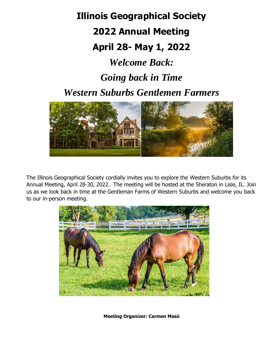**Illinois Geographical Society 2022 Annual Meeting April 28- May 1, 2022** *Welcome Back: Going back in Time Western Suburbs Gentlemen Farmers*



The Illinois Geographical Society cordially invites you to explore the Western Suburbs for its Annual Meeting, April 28-30, 2022. The meeting will be hosted at the Sheraton in Lisle, IL. Join us as we look back in time at the Gentleman Farms of Western Suburbs and welcome you back to our in-person meeting.



**Meeting Organizer: Carmen Masó**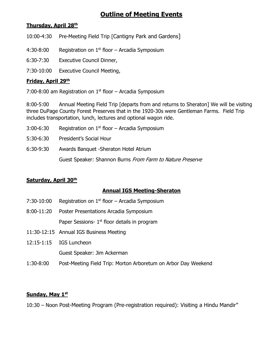# **Outline of Meeting Events**

#### **Thursday, April 28 th**

10:00-4:30 Pre-Meeting Field Trip [Cantigny Park and Gardens]

4:30-8:00 Registration on  $1<sup>st</sup>$  floor – Arcadia Symposium

6:30-7:30 Executive Council Dinner,

7:30-10:00 Executive Council Meeting,

### **Friday, April 29 th**

7:00-8:00 am Registration on  $1<sup>st</sup>$  floor – Arcadia Symposium

8:00-5:00 Annual Meeting Field Trip [departs from and returns to Sheraton] We will be visiting three DuPage County Forest Preserves that in the 1920-30s were Gentleman Farms. Field Trip includes transportation, lunch, lectures and optional wagon ride.

- 3:00-6:30 Registration on  $1<sup>st</sup>$  floor Arcadia Symposium
- 5:30-6:30 President's Social Hour
- 6:30-9:30 Awards Banquet -Sheraton Hotel Atrium

Guest Speaker: Shannon Burns From Farm to Nature Preserve

## **Saturday, April 30th**

## **Annual IGS Meeting-Sheraton**

- 7:30-10:00 Registration on  $1<sup>st</sup>$  floor Arcadia Symposium
- 8:00-11:20 Poster Presentations Arcadia Symposium Paper Sessions- 1<sup>st</sup> floor details in program
- 11:30-12:15 Annual IGS Business Meeting
- 12:15-1:15 IGS Luncheon Guest Speaker: Jim Ackerman
- 1:30-8:00 Post-Meeting Field Trip: Morton Arboretum on Arbor Day Weekend

#### **Sunday, May 1st**

10:30 – Noon Post-Meeting Program (Pre-registration required): Visiting a Hindu Mandir"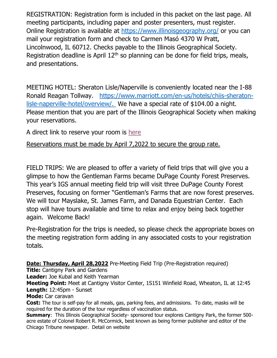REGISTRATION: Registration form is included in this packet on the last page. All meeting participants, including paper and poster presenters, must register. Online Registration is available at<https://www.illinoisgeography.org/> or you can mail your registration form and check to Carmen Masó 4370 W Pratt, Lincolnwood, IL 60712. Checks payable to the Illinois Geographical Society. Registration deadline is April  $12<sup>th</sup>$  so planning can be done for field trips, meals, and presentations.

MEETING HOTEL: Sheraton Lisle/Naperville is conveniently located near the I-88 Ronald Reagan Tollway. [https://www.marriott.com/en-us/hotels/chiis-sheraton](https://www.marriott.com/en-us/hotels/chiis-sheraton-lisle-naperville-hotel/overview/)[lisle-naperville-hotel/overview/.](https://www.marriott.com/en-us/hotels/chiis-sheraton-lisle-naperville-hotel/overview/) We have a special rate of \$104.00 a night. Please mention that you are part of the Illinois Geographical Society when making your reservations.

A direct link to reserve your room is [here](https://www.marriott.com/event-reservations/reservation-link.mi?id=1646023795796&key=GRP&app=resvlink)

Reservations must be made by April 7,2022 to secure the group rate.

FIELD TRIPS: We are pleased to offer a variety of field trips that will give you a glimpse to how the Gentleman Farms became DuPage County Forest Preserves. This year's IGS annual meeting field trip will visit three DuPage County Forest Preserves, focusing on former "Gentleman's Farms that are now forest preserves. We will tour Mayslake, St. James Farm, and Danada Equestrian Center. Each stop will have tours available and time to relax and enjoy being back together again. Welcome Back!

Pre-Registration for the trips is needed, so please check the appropriate boxes on the meeting registration form adding in any associated costs to your registration totals.

**Date: Thursday, April 28,2022** Pre-Meeting Field Trip (Pre-Registration required)

**Title:** Cantigny Park and Gardens

**Leader:** Joe Kubal and Keith Yearman

**Meeting Point:** Meet at Cantigny Visitor Center, 1S151 Winfield Road, Wheaton, IL at 12:45 **Length:** 12:45pm - Sunset

## **Mode:** Car caravan

**Cost:** The tour is self-pay for all meals, gas, parking fees, and admissions. To date, masks will be required for the duration of the tour regardless of vaccination status.

**Summary**: This Illinois Geographical Society- sponsored tour explores Cantigny Park, the former 500 acre estate of Colonel Robert R. McCormick, best known as being former publisher and editor of the Chicago Tribune newspaper. Detail on website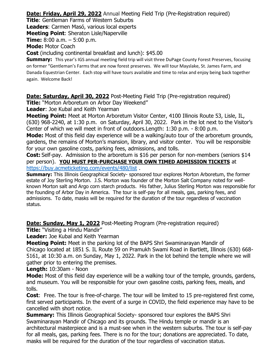**Date: Friday, April 29, 2022** Annual Meeting Field Trip (Pre-Registration required)

**Title**: Gentleman Farms of Western Suburbs

**Leaders**: Carmen Masó, various local experts

**Meeting Point**: Sheraton Lisle/Naperville

**Time:** 8:00 a.m. – 5:00 p.m.

**Mode:** Motor Coach

**Cost** (including continental breakfast and lunch): \$45.00

**Summary:** This year's IGS annual meeting field trip will visit three DuPage County Forest Preserves, focusing on former "Gentleman's Farms that are now forest preserves. We will tour Mayslake, St. James Farm, and Danada Equestrian Center. Each stop will have tours available and time to relax and enjoy being back together again. Welcome Back!

**Date: Saturday, April 30, 2022** Post-Meeting Field Trip (Pre-registration required)

**Title:** "Morton Arboretum on Arbor Day Weekend"

**Leader**: Joe Kubal and Keith Yearman

**Meeting Point:** Meet at Morton Arboretum Visitor Center, 4100 Illinois Route 53, Lisle, IL, (630) 968-2240, at 1:30 p.m. on Saturday, April 30, 2022. Park in the lot next to the Visitor's Center of which we will meet in front of outdoors.Length: 1:30 p.m. - 8:00 p.m.

**Mode:** Most of this field day experience will be a walking/auto tour of the arboretum grounds, gardens, the remains of Morton's mansion, library, and visitor center. You will be responsible for your own gasoline costs, parking fees, admissions, and tolls.

**Cost:** Self-pay. Admission to the arboretum is \$16 per person for non-members (seniors \$14 per person). **YOU MUST PER-PURCHASE YOUR OWN TIMED ADMISSION TICKETS** at [https://buy.acmeticketing.com/events/480/list](about:blank) .

**Summary:** This Illinois Geographical Society- sponsored tour explores Morton Arboretum, the former estate of Joy Sterling Morton. J.S. Morton was founder of the Morton Salt Company noted for wellknown Morton salt and Argo corn starch products. His father, Julius Sterling Morton was responsible for the founding of Arbor Day in America. The tour is self-pay for all meals, gas, parking fees, and admissions. To date, masks will be required for the duration of the tour regardless of vaccination status.

**Date: Sunday, May 1, 2022** Post-Meeting Program (Pre-registration required)

**Title:** "Visiting a Hindu Mandir"

**Leader:** Joe Kubal and Keith Yearman

**Meeting Point:** Meet in the parking lot of the BAPS Shri Swaminarayan Mandir of Chicago located at 1851 S. IL Route 59 on Pramukh Swami Road in Bartlett, Illinois (630) 668- 5161, at 10:30 a.m. on Sunday, May 1, 2022. Park in the lot behind the temple where we will gather prior to entering the premises.

**Length:** 10:30am - Noon

**Mode:** Most of this field day experience will be a walking tour of the temple, grounds, gardens, and museum. You will be responsible for your own gasoline costs, parking fees, meals, and tolls.

**Cost**: Free. The tour is free-of-charge. The tour will be limited to 15 pre-registered first come, first served participants. In the event of a surge in COVID, the field experience may have to be cancelled with short notice.

**Summary:** This Illinois Geographical Society- sponsored tour explores the BAPS Shri Swaminarayan Mandir of Chicago and its grounds. The Hindu temple or mandir is an architectural masterpiece and is a must-see when in the western suburbs. The tour is self-pay for all meals, gas, parking fees. There is no for the tour; donations are appreciated. To date, masks will be required for the duration of the tour regardless of vaccination status.